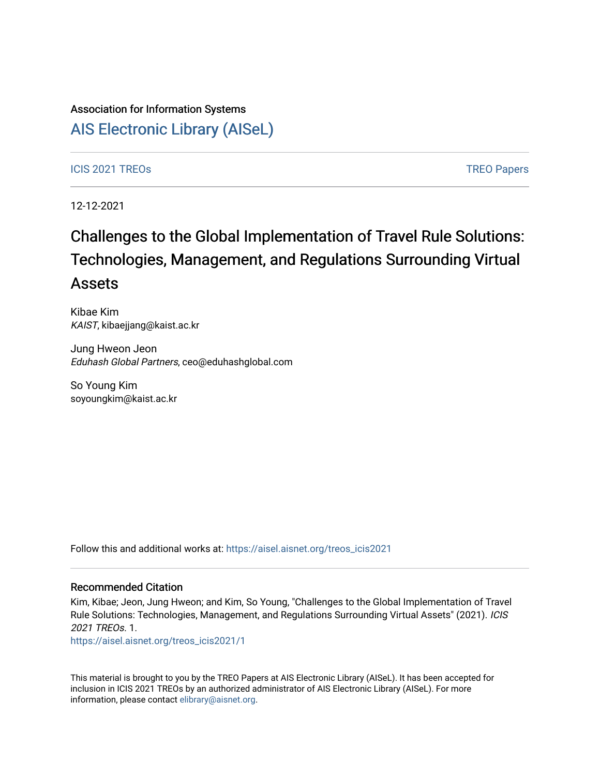## Association for Information Systems

# [AIS Electronic Library \(AISeL\)](https://aisel.aisnet.org/)

#### ICIS 2021 TREOS Notes that the contract of the contract of the contract of the contract of the contract of the contract of the contract of the contract of the contract of the contract of the contract of the contract of the

12-12-2021

# Challenges to the Global Implementation of Travel Rule Solutions: Technologies, Management, and Regulations Surrounding Virtual Assets

Kibae Kim KAIST, kibaejjang@kaist.ac.kr

Jung Hweon Jeon Eduhash Global Partners, ceo@eduhashglobal.com

So Young Kim soyoungkim@kaist.ac.kr

Follow this and additional works at: [https://aisel.aisnet.org/treos\\_icis2021](https://aisel.aisnet.org/treos_icis2021?utm_source=aisel.aisnet.org%2Ftreos_icis2021%2F1&utm_medium=PDF&utm_campaign=PDFCoverPages) 

#### Recommended Citation

Kim, Kibae; Jeon, Jung Hweon; and Kim, So Young, "Challenges to the Global Implementation of Travel Rule Solutions: Technologies, Management, and Regulations Surrounding Virtual Assets" (2021). ICIS 2021 TREOs. 1.

[https://aisel.aisnet.org/treos\\_icis2021/1](https://aisel.aisnet.org/treos_icis2021/1?utm_source=aisel.aisnet.org%2Ftreos_icis2021%2F1&utm_medium=PDF&utm_campaign=PDFCoverPages) 

This material is brought to you by the TREO Papers at AIS Electronic Library (AISeL). It has been accepted for inclusion in ICIS 2021 TREOs by an authorized administrator of AIS Electronic Library (AISeL). For more information, please contact [elibrary@aisnet.org.](mailto:elibrary@aisnet.org%3E)